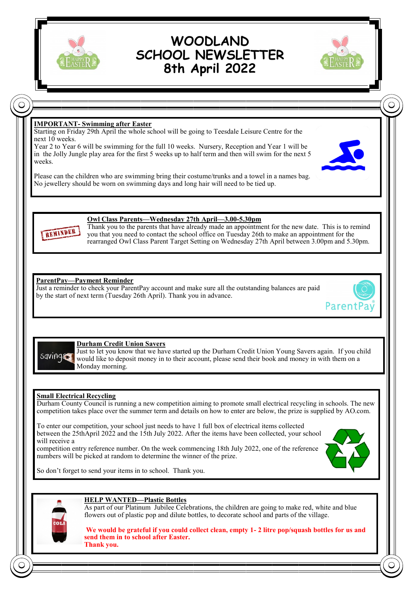

# **WOODLAND SCHOOL NEWSLETTER 8th April 2022**



## **IMPORTANT- Swimming after Easter**

Starting on Friday 29th April the whole school will be going to Teesdale Leisure Centre for the next 10 weeks.

Year 2 to Year 6 will be swimming for the full 10 weeks. Nursery, Reception and Year 1 will be in the Jolly Jungle play area for the first 5 weeks up to half term and then will swim for the next 5 weeks.

Please can the children who are swimming bring their costume/trunks and a towel in a names bag. No jewellery should be worn on swimming days and long hair will need to be tied up.





#### **Owl Class Parents—Wednesday 27th April—3.00-5.30pm**

Thank you to the parents that have already made an appointment for the new date. This is to remind you that you need to contact the school office on Tuesday 26th to make an appointment for the rearranged Owl Class Parent Target Setting on Wednesday 27th April between 3.00pm and 5.30pm.

#### **ParentPay—Payment Reminder**

Just a reminder to check your ParentPay account and make sure all the outstanding balances are paid by the start of next term (Tuesday 26th April). Thank you in advance.





#### **Durham Credit Union Savers**

Just to let you know that we have started up the Durham Credit Union Young Savers again. If you child would like to deposit money in to their account, please send their book and money in with them on a Monday morning.

#### **Small Electrical Recycling**

Durham County Council is running a new competition aiming to promote small electrical recycling in schools. The new competition takes place over the summer term and details on how to enter are below, the prize is supplied by AO.com.

To enter our competition, your school just needs to have 1 full box of electrical items collected between the 25thApril 2022 and the 15th July 2022. After the items have been collected, your school will receive a

competition entry reference number. On the week commencing 18th July 2022, one of the reference numbers will be picked at random to determine the winner of the prize.



So don't forget to send your items in to school. Thank you.



### **HELP WANTED—Plastic Bottles**

As part of our Platinum Jubilee Celebrations, the children are going to make red, white and blue flowers out of plastic pop and dilute bottles, to decorate school and parts of the village.

**We would be grateful if you could collect clean, empty 1- 2 litre pop/squash bottles for us and send them in to school after Easter. Thank you.**